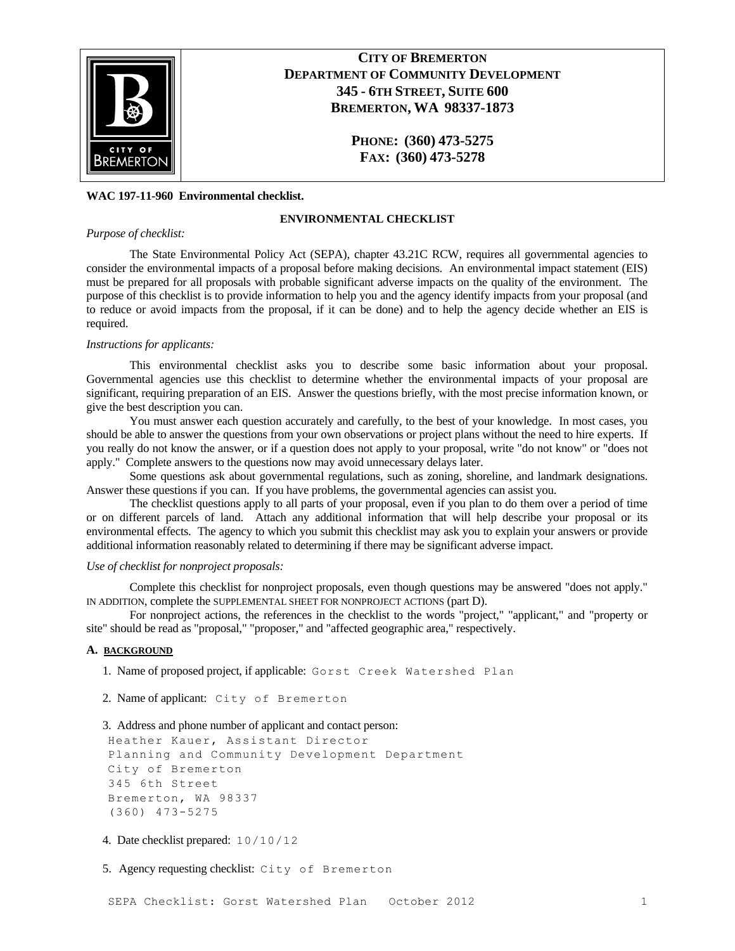

# **CITY OF BREMERTON DEPARTMENT OF COMMUNITY DEVELOPMENT 345 - 6TH STREET, SUITE 600 BREMERTON, WA 98337-1873**

**PHONE: (360) 473-5275 FAX: (360) 473-5278**

# **WAC 197-11-960 Environmental checklist.**

# **ENVIRONMENTAL CHECKLIST**

# *Purpose of checklist:*

The State Environmental Policy Act (SEPA), chapter 43.21C RCW, requires all governmental agencies to consider the environmental impacts of a proposal before making decisions. An environmental impact statement (EIS) must be prepared for all proposals with probable significant adverse impacts on the quality of the environment. The purpose of this checklist is to provide information to help you and the agency identify impacts from your proposal (and to reduce or avoid impacts from the proposal, if it can be done) and to help the agency decide whether an EIS is required.

# *Instructions for applicants:*

This environmental checklist asks you to describe some basic information about your proposal. Governmental agencies use this checklist to determine whether the environmental impacts of your proposal are significant, requiring preparation of an EIS. Answer the questions briefly, with the most precise information known, or give the best description you can.

You must answer each question accurately and carefully, to the best of your knowledge. In most cases, you should be able to answer the questions from your own observations or project plans without the need to hire experts. If you really do not know the answer, or if a question does not apply to your proposal, write "do not know" or "does not apply." Complete answers to the questions now may avoid unnecessary delays later.

Some questions ask about governmental regulations, such as zoning, shoreline, and landmark designations. Answer these questions if you can. If you have problems, the governmental agencies can assist you.

The checklist questions apply to all parts of your proposal, even if you plan to do them over a period of time or on different parcels of land. Attach any additional information that will help describe your proposal or its environmental effects. The agency to which you submit this checklist may ask you to explain your answers or provide additional information reasonably related to determining if there may be significant adverse impact.

# *Use of checklist for nonproject proposals:*

Complete this checklist for nonproject proposals, even though questions may be answered "does not apply." IN ADDITION, complete the SUPPLEMENTAL SHEET FOR NONPROJECT ACTIONS (part D).

For nonproject actions, the references in the checklist to the words "project," "applicant," and "property or site" should be read as "proposal," "proposer," and "affected geographic area," respectively.

# **A. BACKGROUND**

- 1. Name of proposed project, if applicable: Gorst Creek Watershed Plan
- 2. Name of applicant: City of Bremerton

# 3. Address and phone number of applicant and contact person:

```
Heather Kauer, Assistant Director
Planning and Community Development Department
City of Bremerton
345 6th Street
Bremerton, WA 98337
(360) 473-5275
```
- 4. Date checklist prepared: 10/10/12
- 5. Agency requesting checklist: City of Bremerton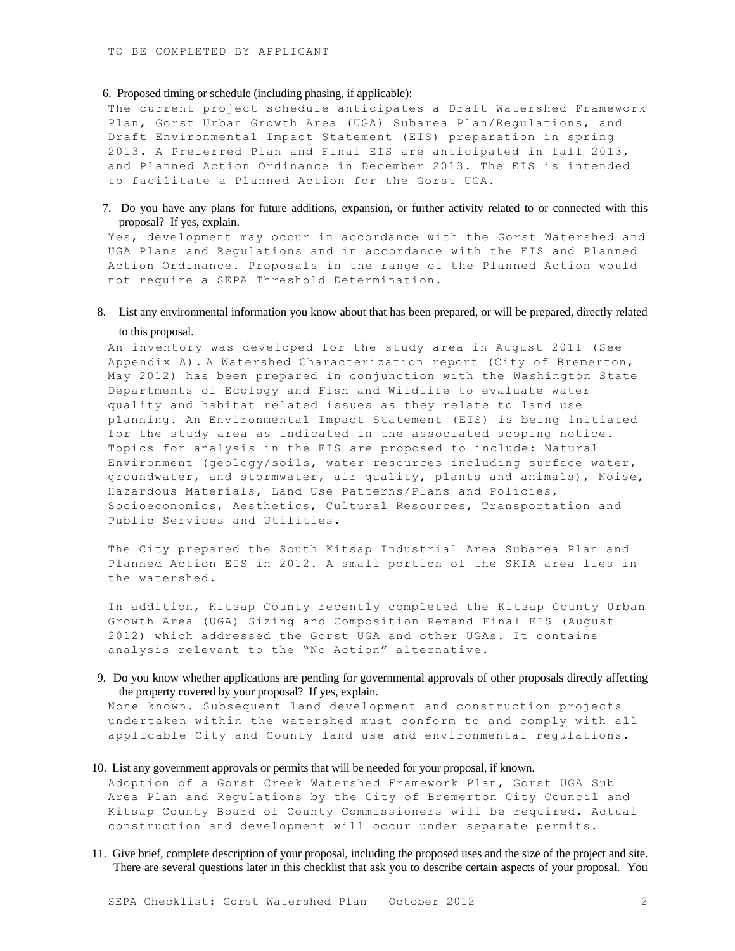# 6. Proposed timing or schedule (including phasing, if applicable):

The current project schedule anticipates a Draft Watershed Framework Plan, Gorst Urban Growth Area (UGA) Subarea Plan/Regulations, and Draft Environmental Impact Statement (EIS) preparation in spring 2013. A Preferred Plan and Final EIS are anticipated in fall 2013, and Planned Action Ordinance in December 2013. The EIS is intended to facilitate a Planned Action for the Gorst UGA.

7. Do you have any plans for future additions, expansion, or further activity related to or connected with this proposal? If yes, explain.

Yes, development may occur in accordance with the Gorst Watershed and UGA Plans and Regulations and in accordance with the EIS and Planned Action Ordinance. Proposals in the range of the Planned Action would not require a SEPA Threshold Determination.

#### 8. List any environmental information you know about that has been prepared, or will be prepared, directly related

#### to this proposal.

An inventory was developed for the study area in August 2011 (See Appendix A). A Watershed Characterization report (City of Bremerton, May 2012) has been prepared in conjunction with the Washington State Departments of Ecology and Fish and Wildlife to evaluate water quality and habitat related issues as they relate to land use planning. An Environmental Impact Statement (EIS) is being initiated for the study area as indicated in the associated scoping notice. Topics for analysis in the EIS are proposed to include: Natural Environment (geology/soils, water resources including surface water, groundwater, and stormwater, air quality, plants and animals), Noise, Hazardous Materials, Land Use Patterns/Plans and Policies, Socioeconomics, Aesthetics, Cultural Resources, Transportation and Public Services and Utilities.

The City prepared the South Kitsap Industrial Area Subarea Plan and Planned Action EIS in 2012. A small portion of the SKIA area lies in the watershed.

In addition, Kitsap County recently completed the Kitsap County Urban Growth Area (UGA) Sizing and Composition Remand Final EIS (August 2012) which addressed the Gorst UGA and other UGAs. It contains analysis relevant to the "No Action" alternative.

9. Do you know whether applications are pending for governmental approvals of other proposals directly affecting the property covered by your proposal? If yes, explain.

None known. Subsequent land development and construction projects undertaken within the watershed must conform to and comply with all applicable City and County land use and environmental regulations.

10. List any government approvals or permits that will be needed for your proposal, if known.

Adoption of a Gorst Creek Watershed Framework Plan, Gorst UGA Sub Area Plan and Regulations by the City of Bremerton City Council and Kitsap County Board of County Commissioners will be required. Actual construction and development will occur under separate permits.

11. Give brief, complete description of your proposal, including the proposed uses and the size of the project and site. There are several questions later in this checklist that ask you to describe certain aspects of your proposal. You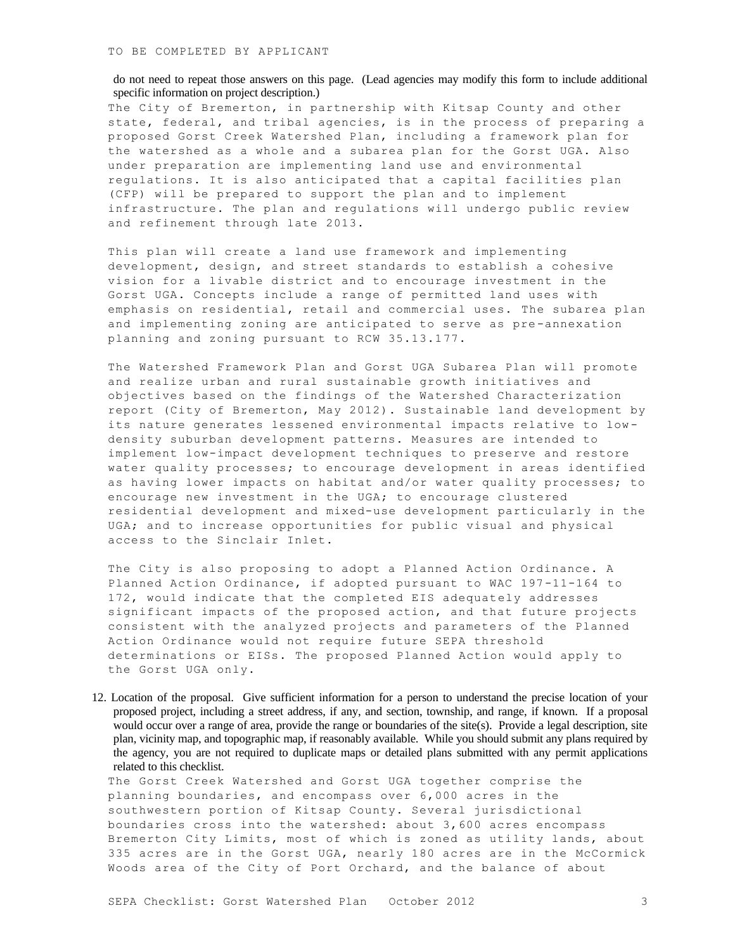do not need to repeat those answers on this page. (Lead agencies may modify this form to include additional specific information on project description.)

The City of Bremerton, in partnership with Kitsap County and other state, federal, and tribal agencies, is in the process of preparing a proposed Gorst Creek Watershed Plan, including a framework plan for the watershed as a whole and a subarea plan for the Gorst UGA. Also under preparation are implementing land use and environmental regulations. It is also anticipated that a capital facilities plan (CFP) will be prepared to support the plan and to implement infrastructure. The plan and regulations will undergo public review and refinement through late 2013.

This plan will create a land use framework and implementing development, design, and street standards to establish a cohesive vision for a livable district and to encourage investment in the Gorst UGA. Concepts include a range of permitted land uses with emphasis on residential, retail and commercial uses. The subarea plan and implementing zoning are anticipated to serve as pre-annexation planning and zoning pursuant to RCW 35.13.177.

The Watershed Framework Plan and Gorst UGA Subarea Plan will promote and realize urban and rural sustainable growth initiatives and objectives based on the findings of the Watershed Characterization report (City of Bremerton, May 2012). Sustainable land development by its nature generates lessened environmental impacts relative to lowdensity suburban development patterns. Measures are intended to implement low-impact development techniques to preserve and restore water quality processes; to encourage development in areas identified as having lower impacts on habitat and/or water quality processes; to encourage new investment in the UGA; to encourage clustered residential development and mixed-use development particularly in the UGA; and to increase opportunities for public visual and physical access to the Sinclair Inlet.

The City is also proposing to adopt a Planned Action Ordinance. A Planned Action Ordinance, if adopted pursuant to WAC 197-11-164 to 172, would indicate that the completed EIS adequately addresses significant impacts of the proposed action, and that future projects consistent with the analyzed projects and parameters of the Planned Action Ordinance would not require future SEPA threshold determinations or EISs. The proposed Planned Action would apply to the Gorst UGA only.

12. Location of the proposal. Give sufficient information for a person to understand the precise location of your proposed project, including a street address, if any, and section, township, and range, if known. If a proposal would occur over a range of area, provide the range or boundaries of the site(s). Provide a legal description, site plan, vicinity map, and topographic map, if reasonably available. While you should submit any plans required by the agency, you are not required to duplicate maps or detailed plans submitted with any permit applications related to this checklist.

The Gorst Creek Watershed and Gorst UGA together comprise the planning boundaries, and encompass over 6,000 acres in the southwestern portion of Kitsap County. Several jurisdictional boundaries cross into the watershed: about 3,600 acres encompass Bremerton City Limits, most of which is zoned as utility lands, about 335 acres are in the Gorst UGA, nearly 180 acres are in the McCormick Woods area of the City of Port Orchard, and the balance of about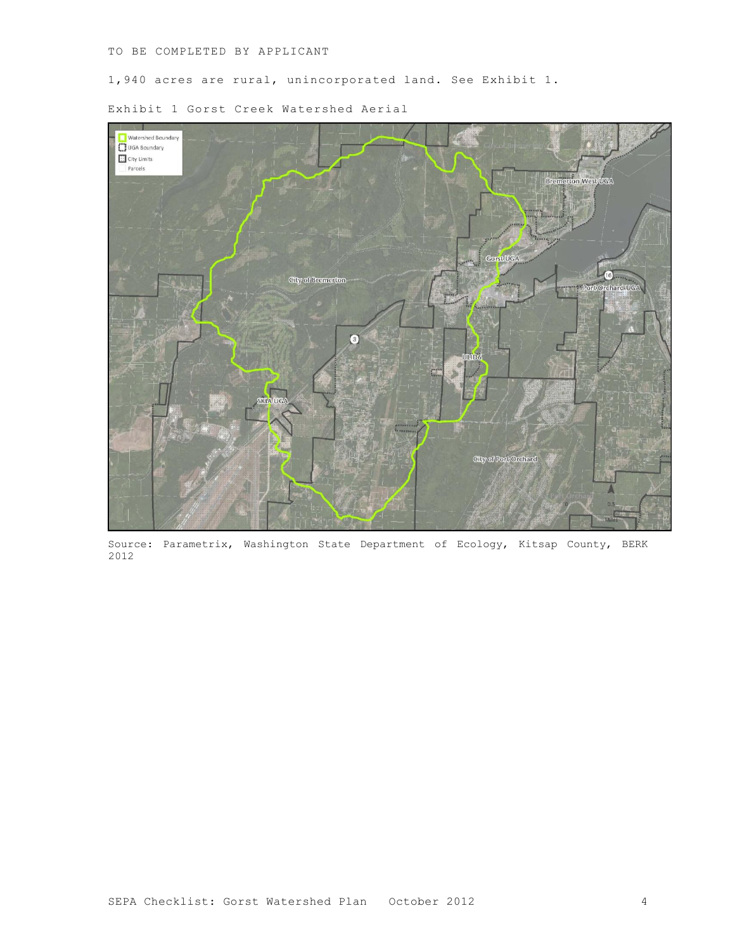1,940 acres are rural, unincorporated land. See Exhibit 1.



Exhibit 1 Gorst Creek Watershed Aerial

Source: Parametrix, Washington State Department of Ecology, Kitsap County, BERK 2012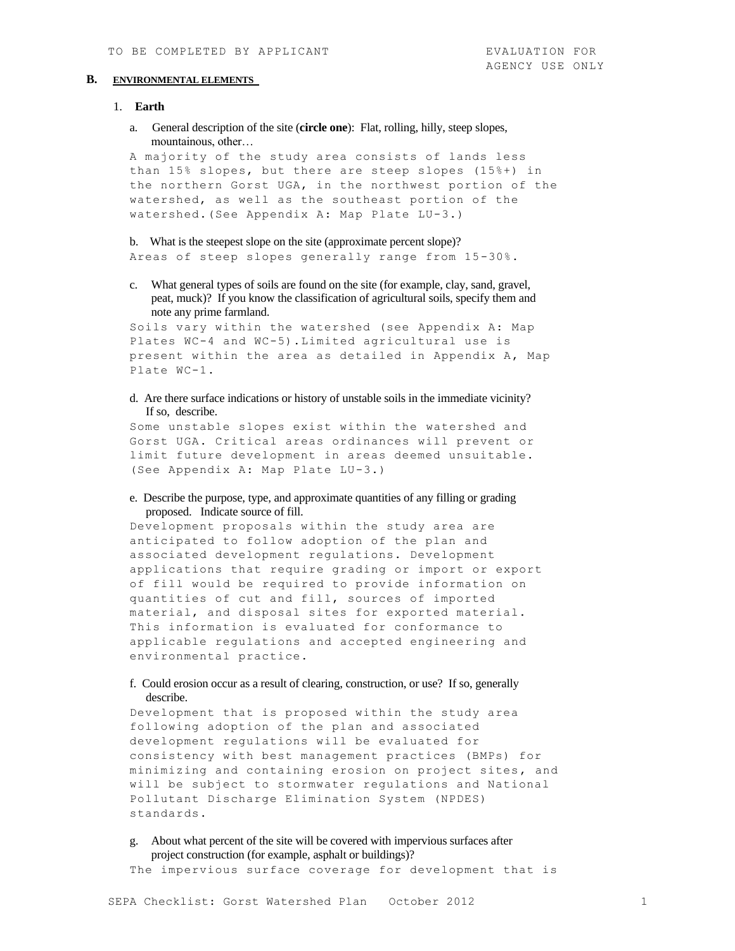# 1. **Earth**

a. General description of the site (**circle one**): Flat, rolling, hilly, steep slopes, mountainous, other…

A majority of the study area consists of lands less than 15% slopes, but there are steep slopes (15%+) in the northern Gorst UGA, in the northwest portion of the watershed, as well as the southeast portion of the watershed.(See Appendix A: Map Plate LU-3.)

b. What is the steepest slope on the site (approximate percent slope)? Areas of steep slopes generally range from 15-30%.

c. What general types of soils are found on the site (for example, clay, sand, gravel, peat, muck)? If you know the classification of agricultural soils, specify them and note any prime farmland.

Soils vary within the watershed (see Appendix A: Map Plates WC-4 and WC-5).Limited agricultural use is present within the area as detailed in Appendix A, Map Plate WC-1.

d. Are there surface indications or history of unstable soils in the immediate vicinity? If so, describe.

Some unstable slopes exist within the watershed and Gorst UGA. Critical areas ordinances will prevent or limit future development in areas deemed unsuitable. (See Appendix A: Map Plate LU-3.)

e. Describe the purpose, type, and approximate quantities of any filling or grading proposed. Indicate source of fill.

Development proposals within the study area are anticipated to follow adoption of the plan and associated development regulations. Development applications that require grading or import or export of fill would be required to provide information on quantities of cut and fill, sources of imported material, and disposal sites for exported material. This information is evaluated for conformance to applicable regulations and accepted engineering and environmental practice.

### f. Could erosion occur as a result of clearing, construction, or use? If so, generally describe.

Development that is proposed within the study area following adoption of the plan and associated development regulations will be evaluated for consistency with best management practices (BMPs) for minimizing and containing erosion on project sites, and will be subject to stormwater regulations and National Pollutant Discharge Elimination System (NPDES) standards.

g. About what percent of the site will be covered with impervious surfaces after project construction (for example, asphalt or buildings)?

The impervious surface coverage for development that is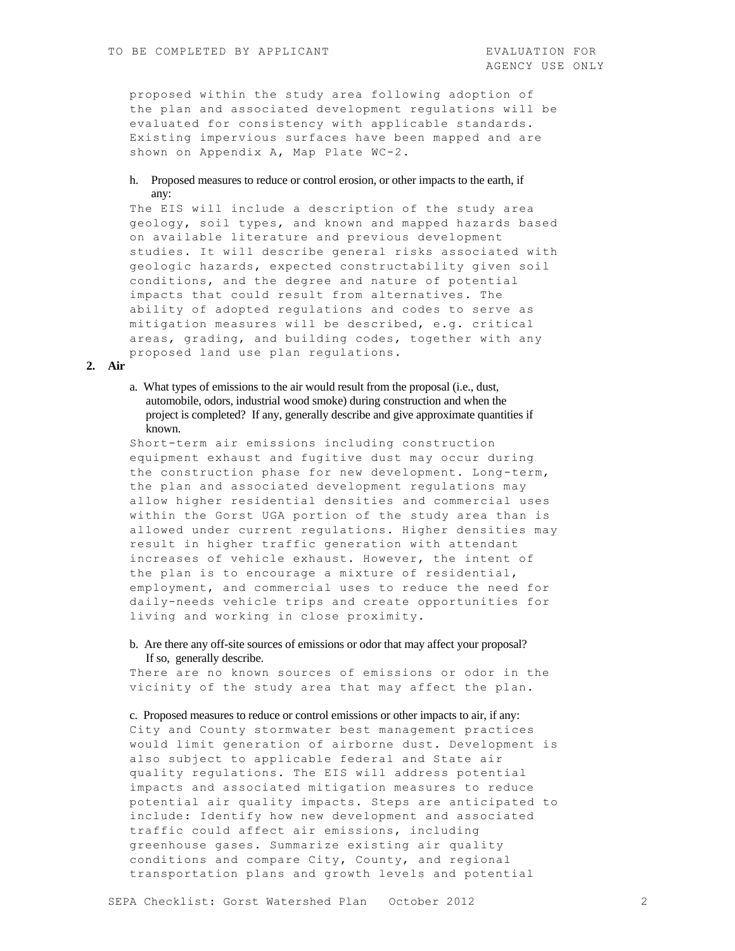proposed within the study area following adoption of the plan and associated development regulations will be evaluated for consistency with applicable standards. Existing impervious surfaces have been mapped and are shown on Appendix A, Map Plate WC-2.

#### h. Proposed measures to reduce or control erosion, or other impacts to the earth, if any:

The EIS will include a description of the study area geology, soil types, and known and mapped hazards based on available literature and previous development studies. It will describe general risks associated with geologic hazards, expected constructability given soil conditions, and the degree and nature of potential impacts that could result from alternatives. The ability of adopted regulations and codes to serve as mitigation measures will be described, e.g. critical areas, grading, and building codes, together with any proposed land use plan regulations.

#### **2. Air**

a. What types of emissions to the air would result from the proposal (i.e., dust, automobile, odors, industrial wood smoke) during construction and when the project is completed? If any, generally describe and give approximate quantities if known.

Short-term air emissions including construction equipment exhaust and fugitive dust may occur during the construction phase for new development. Long-term, the plan and associated development regulations may allow higher residential densities and commercial uses within the Gorst UGA portion of the study area than is allowed under current regulations. Higher densities may result in higher traffic generation with attendant increases of vehicle exhaust. However, the intent of the plan is to encourage a mixture of residential, employment, and commercial uses to reduce the need for daily-needs vehicle trips and create opportunities for living and working in close proximity.

# b. Are there any off-site sources of emissions or odor that may affect your proposal? If so, generally describe.

There are no known sources of emissions or odor in the vicinity of the study area that may affect the plan.

c. Proposed measures to reduce or control emissions or other impacts to air, if any: City and County stormwater best management practices would limit generation of airborne dust. Development is also subject to applicable federal and State air quality regulations. The EIS will address potential impacts and associated mitigation measures to reduce potential air quality impacts. Steps are anticipated to include: Identify how new development and associated traffic could affect air emissions, including greenhouse gases. Summarize existing air quality conditions and compare City, County, and regional transportation plans and growth levels and potential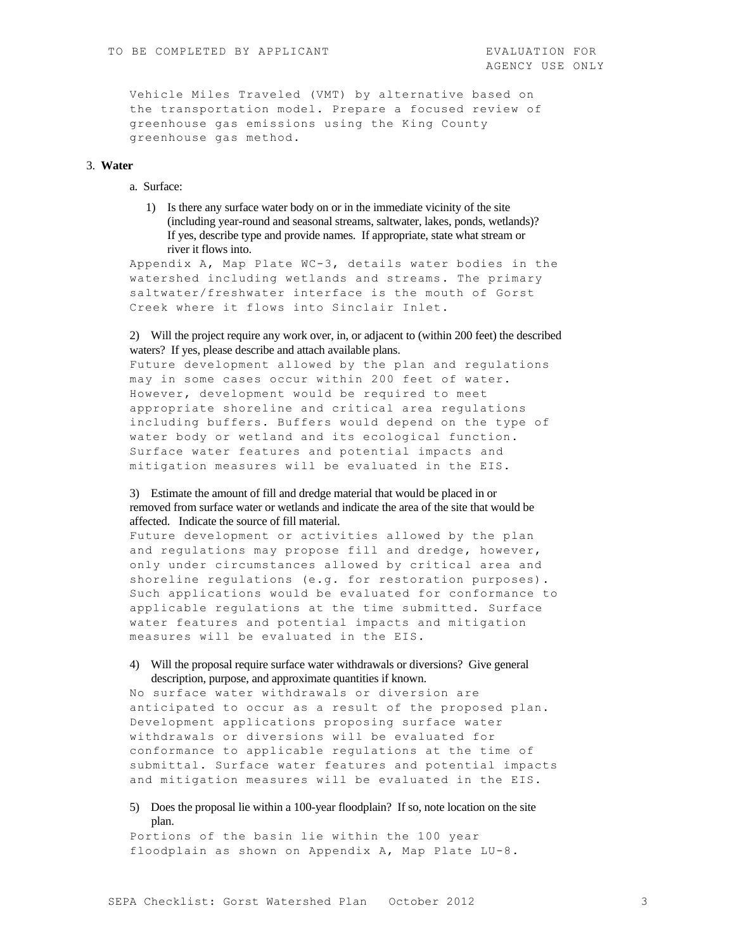Vehicle Miles Traveled (VMT) by alternative based on the transportation model. Prepare a focused review of greenhouse gas emissions using the King County greenhouse gas method.

# 3. **Water**

- a. Surface:
	- 1) Is there any surface water body on or in the immediate vicinity of the site (including year-round and seasonal streams, saltwater, lakes, ponds, wetlands)? If yes, describe type and provide names. If appropriate, state what stream or river it flows into.

Appendix A, Map Plate WC-3, details water bodies in the watershed including wetlands and streams. The primary saltwater/freshwater interface is the mouth of Gorst Creek where it flows into Sinclair Inlet.

2) Will the project require any work over, in, or adjacent to (within 200 feet) the described waters? If yes, please describe and attach available plans.

Future development allowed by the plan and regulations may in some cases occur within 200 feet of water. However, development would be required to meet appropriate shoreline and critical area regulations including buffers. Buffers would depend on the type of water body or wetland and its ecological function. Surface water features and potential impacts and mitigation measures will be evaluated in the EIS.

3) Estimate the amount of fill and dredge material that would be placed in or removed from surface water or wetlands and indicate the area of the site that would be affected. Indicate the source of fill material.

Future development or activities allowed by the plan and regulations may propose fill and dredge, however, only under circumstances allowed by critical area and shoreline regulations (e.g. for restoration purposes). Such applications would be evaluated for conformance to applicable regulations at the time submitted. Surface water features and potential impacts and mitigation measures will be evaluated in the EIS.

# 4) Will the proposal require surface water withdrawals or diversions? Give general description, purpose, and approximate quantities if known.

No surface water withdrawals or diversion are anticipated to occur as a result of the proposed plan. Development applications proposing surface water withdrawals or diversions will be evaluated for conformance to applicable regulations at the time of submittal. Surface water features and potential impacts and mitigation measures will be evaluated in the EIS.

# 5) Does the proposal lie within a 100-year floodplain? If so, note location on the site plan.

Portions of the basin lie within the 100 year floodplain as shown on Appendix A, Map Plate LU-8.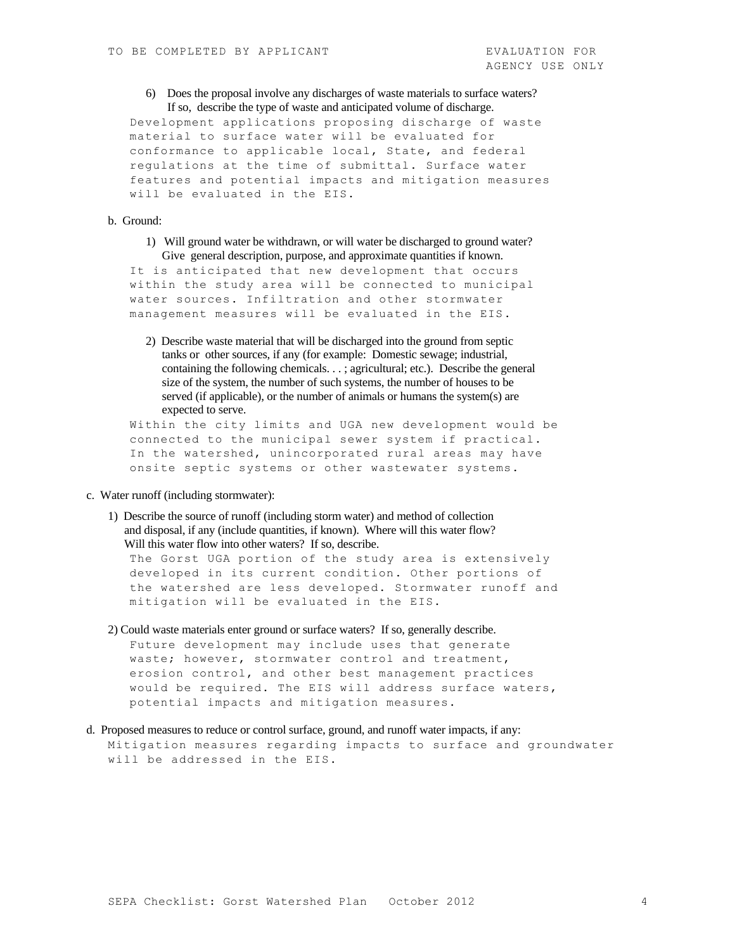6) Does the proposal involve any discharges of waste materials to surface waters? If so, describe the type of waste and anticipated volume of discharge.

Development applications proposing discharge of waste material to surface water will be evaluated for conformance to applicable local, State, and federal regulations at the time of submittal. Surface water features and potential impacts and mitigation measures will be evaluated in the EIS.

# b. Ground:

1) Will ground water be withdrawn, or will water be discharged to ground water? Give general description, purpose, and approximate quantities if known. It is anticipated that new development that occurs within the study area will be connected to municipal

water sources. Infiltration and other stormwater management measures will be evaluated in the EIS.

2) Describe waste material that will be discharged into the ground from septic tanks or other sources, if any (for example: Domestic sewage; industrial, containing the following chemicals. . . ; agricultural; etc.). Describe the general size of the system, the number of such systems, the number of houses to be served (if applicable), or the number of animals or humans the system(s) are expected to serve.

Within the city limits and UGA new development would be connected to the municipal sewer system if practical. In the watershed, unincorporated rural areas may have onsite septic systems or other wastewater systems.

### c. Water runoff (including stormwater):

1) Describe the source of runoff (including storm water) and method of collection and disposal, if any (include quantities, if known). Where will this water flow? Will this water flow into other waters? If so, describe.

```
The Gorst UGA portion of the study area is extensively 
developed in its current condition. Other portions of 
the watershed are less developed. Stormwater runoff and 
mitigation will be evaluated in the EIS.
```
2) Could waste materials enter ground or surface waters? If so, generally describe.

Future development may include uses that generate waste; however, stormwater control and treatment, erosion control, and other best management practices would be required. The EIS will address surface waters, potential impacts and mitigation measures.

d. Proposed measures to reduce or control surface, ground, and runoff water impacts, if any: Mitigation measures regarding impacts to surface and groundwater will be addressed in the EIS.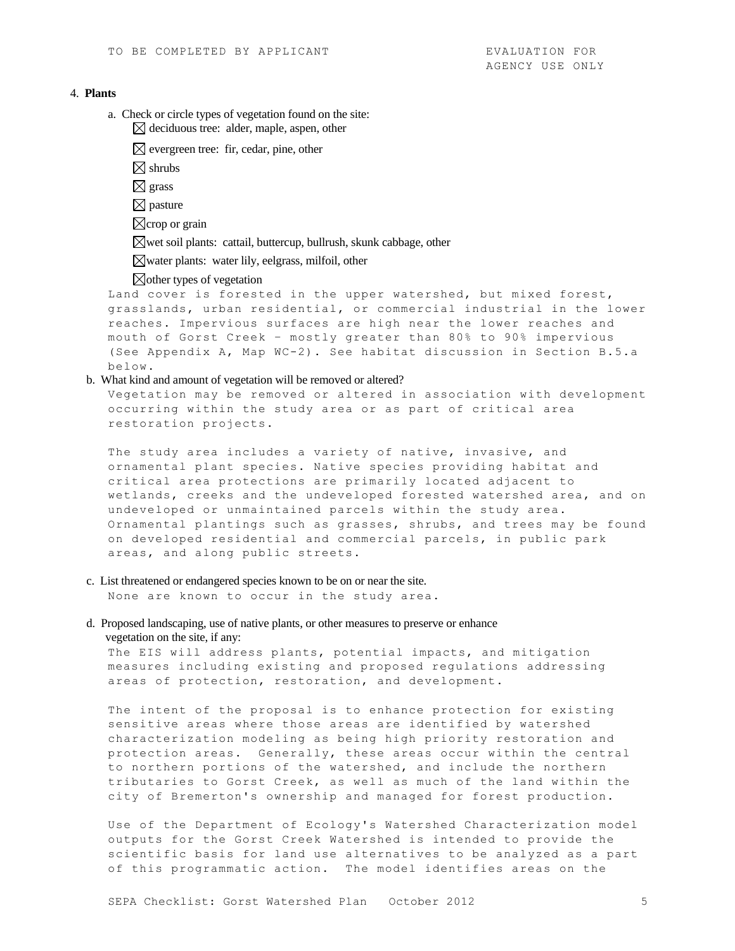# 4. **Plants**

a. Check or circle types of vegetation found on the site:  $\boxtimes$  deciduous tree: alder, maple, aspen, other

 $\boxtimes$  evergreen tree: fir, cedar, pine, other

 $\boxtimes$  shrubs

 $\boxtimes$  grass

 $\boxtimes$  pasture

 $\boxtimes$ crop or grain

 $\boxtimes$  wet soil plants: cattail, buttercup, bullrush, skunk cabbage, other

 $\boxtimes$  water plants: water lily, eelgrass, milfoil, other

 $\boxtimes$  other types of vegetation

```
Land cover is forested in the upper watershed, but mixed forest, 
grasslands, urban residential, or commercial industrial in the lower 
reaches. Impervious surfaces are high near the lower reaches and 
mouth of Gorst Creek – mostly greater than 80% to 90% impervious 
(See Appendix A, Map WC-2). See habitat discussion in Section B.5.a 
below.
```
#### b. What kind and amount of vegetation will be removed or altered?

Vegetation may be removed or altered in association with development occurring within the study area or as part of critical area restoration projects.

The study area includes a variety of native, invasive, and ornamental plant species. Native species providing habitat and critical area protections are primarily located adjacent to wetlands, creeks and the undeveloped forested watershed area, and on undeveloped or unmaintained parcels within the study area. Ornamental plantings such as grasses, shrubs, and trees may be found on developed residential and commercial parcels, in public park areas, and along public streets.

c. List threatened or endangered species known to be on or near the site.

None are known to occur in the study area.

d. Proposed landscaping, use of native plants, or other measures to preserve or enhance vegetation on the site, if any:

The EIS will address plants, potential impacts, and mitigation measures including existing and proposed regulations addressing areas of protection, restoration, and development.

The intent of the proposal is to enhance protection for existing sensitive areas where those areas are identified by watershed characterization modeling as being high priority restoration and protection areas. Generally, these areas occur within the central to northern portions of the watershed, and include the northern tributaries to Gorst Creek, as well as much of the land within the city of Bremerton's ownership and managed for forest production.

Use of the Department of Ecology's Watershed Characterization model outputs for the Gorst Creek Watershed is intended to provide the scientific basis for land use alternatives to be analyzed as a part of this programmatic action. The model identifies areas on the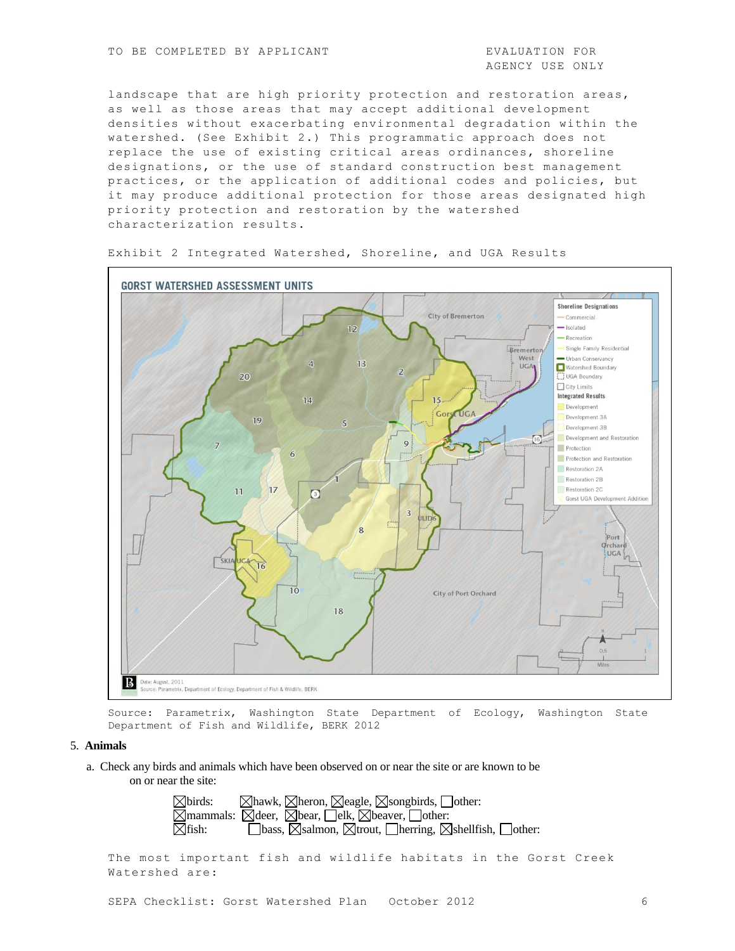landscape that are high priority protection and restoration areas, as well as those areas that may accept additional development densities without exacerbating environmental degradation within the watershed. (See Exhibit 2.) This programmatic approach does not replace the use of existing critical areas ordinances, shoreline designations, or the use of standard construction best management practices, or the application of additional codes and policies, but it may produce additional protection for those areas designated high priority protection and restoration by the watershed characterization results.



Exhibit 2 Integrated Watershed, Shoreline, and UGA Results

Source: Parametrix, Washington State Department of Ecology, Washington State Department of Fish and Wildlife, BERK 2012

### 5. **Animals**

a. Check any birds and animals which have been observed on or near the site or are known to be on or near the site:

> $\boxtimes$ birds:  $\boxtimes$ hawk,  $\boxtimes$ heron,  $\boxtimes$ eagle,  $\boxtimes$ songbirds,  $\Box$ other:  $\boxtimes$ mammals:  $\boxtimes$ deer,  $\boxtimes$ bear,  $\Box$ elk,  $\boxtimes$ beaver,  $\Box$ other:  $\boxtimes$ fish: **bass,**  $\boxtimes$ **salmon,**  $\boxtimes$ **trout,**  $\Box$ **herring,**  $\boxtimes$ **shellfish,**  $\Box$ **other:**

The most important fish and wildlife habitats in the Gorst Creek Watershed are: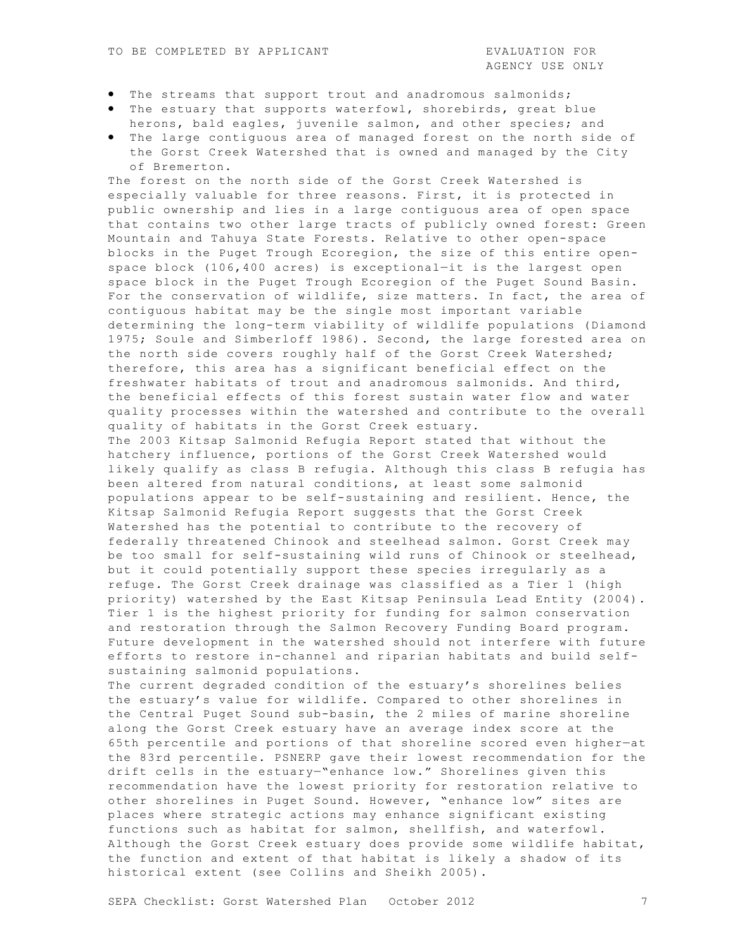- The streams that support trout and anadromous salmonids;
- The estuary that supports waterfowl, shorebirds, great blue herons, bald eagles, juvenile salmon, and other species; and
- The large contiguous area of managed forest on the north side of the Gorst Creek Watershed that is owned and managed by the City of Bremerton.

The forest on the north side of the Gorst Creek Watershed is especially valuable for three reasons. First, it is protected in public ownership and lies in a large contiguous area of open space that contains two other large tracts of publicly owned forest: Green Mountain and Tahuya State Forests. Relative to other open-space blocks in the Puget Trough Ecoregion, the size of this entire openspace block (106,400 acres) is exceptional—it is the largest open space block in the Puget Trough Ecoregion of the Puget Sound Basin. For the conservation of wildlife, size matters. In fact, the area of contiguous habitat may be the single most important variable determining the long-term viability of wildlife populations (Diamond 1975; Soule and Simberloff 1986). Second, the large forested area on the north side covers roughly half of the Gorst Creek Watershed; therefore, this area has a significant beneficial effect on the freshwater habitats of trout and anadromous salmonids. And third, the beneficial effects of this forest sustain water flow and water quality processes within the watershed and contribute to the overall quality of habitats in the Gorst Creek estuary.

The 2003 Kitsap Salmonid Refugia Report stated that without the hatchery influence, portions of the Gorst Creek Watershed would likely qualify as class B refugia. Although this class B refugia has been altered from natural conditions, at least some salmonid populations appear to be self-sustaining and resilient. Hence, the Kitsap Salmonid Refugia Report suggests that the Gorst Creek Watershed has the potential to contribute to the recovery of federally threatened Chinook and steelhead salmon. Gorst Creek may be too small for self-sustaining wild runs of Chinook or steelhead, but it could potentially support these species irregularly as a refuge. The Gorst Creek drainage was classified as a Tier 1 (high priority) watershed by the East Kitsap Peninsula Lead Entity (2004). Tier 1 is the highest priority for funding for salmon conservation and restoration through the Salmon Recovery Funding Board program. Future development in the watershed should not interfere with future efforts to restore in-channel and riparian habitats and build selfsustaining salmonid populations.

The current degraded condition of the estuary's shorelines belies the estuary's value for wildlife. Compared to other shorelines in the Central Puget Sound sub-basin, the 2 miles of marine shoreline along the Gorst Creek estuary have an average index score at the 65th percentile and portions of that shoreline scored even higher—at the 83rd percentile. PSNERP gave their lowest recommendation for the drift cells in the estuary—"enhance low." Shorelines given this recommendation have the lowest priority for restoration relative to other shorelines in Puget Sound. However, "enhance low" sites are places where strategic actions may enhance significant existing functions such as habitat for salmon, shellfish, and waterfowl. Although the Gorst Creek estuary does provide some wildlife habitat, the function and extent of that habitat is likely a shadow of its historical extent (see Collins and Sheikh 2005).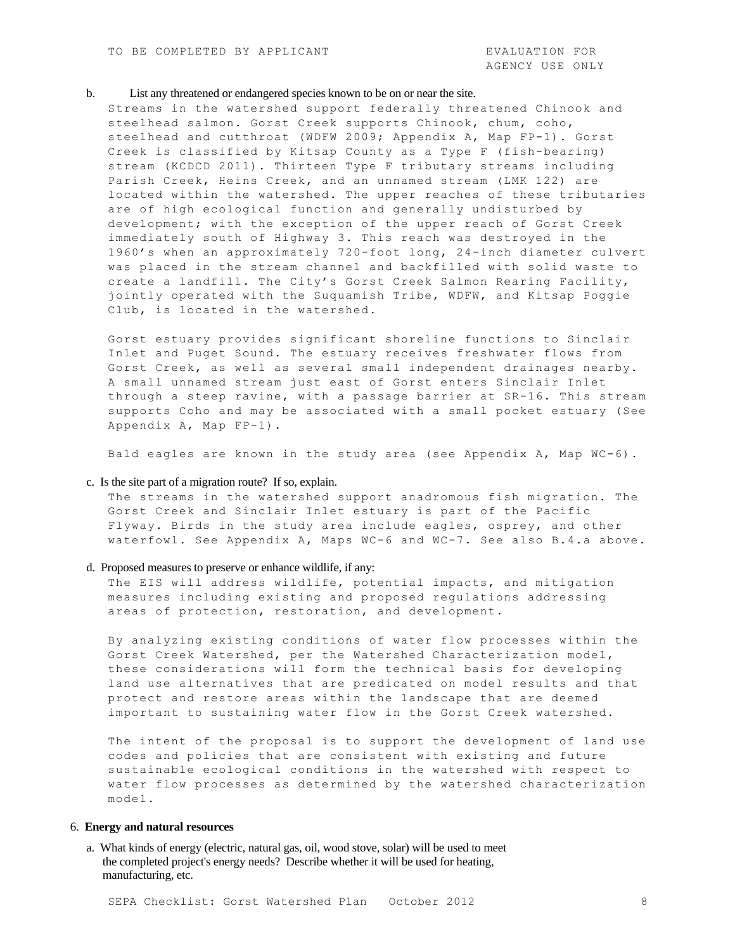### b. List any threatened or endangered species known to be on or near the site.

Streams in the watershed support federally threatened Chinook and steelhead salmon. Gorst Creek supports Chinook, chum, coho, steelhead and cutthroat (WDFW 2009; Appendix A, Map FP-1). Gorst Creek is classified by Kitsap County as a Type F (fish-bearing) stream (KCDCD 2011). Thirteen Type F tributary streams including Parish Creek, Heins Creek, and an unnamed stream (LMK 122) are located within the watershed. The upper reaches of these tributaries are of high ecological function and generally undisturbed by development; with the exception of the upper reach of Gorst Creek immediately south of Highway 3. This reach was destroyed in the 1960's when an approximately 720-foot long, 24-inch diameter culvert was placed in the stream channel and backfilled with solid waste to create a landfill. The City's Gorst Creek Salmon Rearing Facility, jointly operated with the Suquamish Tribe, WDFW, and Kitsap Poggie Club, is located in the watershed.

Gorst estuary provides significant shoreline functions to Sinclair Inlet and Puget Sound. The estuary receives freshwater flows from Gorst Creek, as well as several small independent drainages nearby. A small unnamed stream just east of Gorst enters Sinclair Inlet through a steep ravine, with a passage barrier at SR-16. This stream supports Coho and may be associated with a small pocket estuary (See Appendix A, Map FP-1).

Bald eagles are known in the study area (see Appendix A, Map WC-6).

### c. Is the site part of a migration route? If so, explain.

The streams in the watershed support anadromous fish migration. The Gorst Creek and Sinclair Inlet estuary is part of the Pacific Flyway. Birds in the study area include eagles, osprey, and other waterfowl. See Appendix A, Maps WC-6 and WC-7. See also B.4.a above.

# d. Proposed measures to preserve or enhance wildlife, if any:

The EIS will address wildlife, potential impacts, and mitigation measures including existing and proposed regulations addressing areas of protection, restoration, and development.

By analyzing existing conditions of water flow processes within the Gorst Creek Watershed, per the Watershed Characterization model, these considerations will form the technical basis for developing land use alternatives that are predicated on model results and that protect and restore areas within the landscape that are deemed important to sustaining water flow in the Gorst Creek watershed.

The intent of the proposal is to support the development of land use codes and policies that are consistent with existing and future sustainable ecological conditions in the watershed with respect to water flow processes as determined by the watershed characterization model.

#### 6. **Energy and natural resources**

a. What kinds of energy (electric, natural gas, oil, wood stove, solar) will be used to meet the completed project's energy needs? Describe whether it will be used for heating, manufacturing, etc.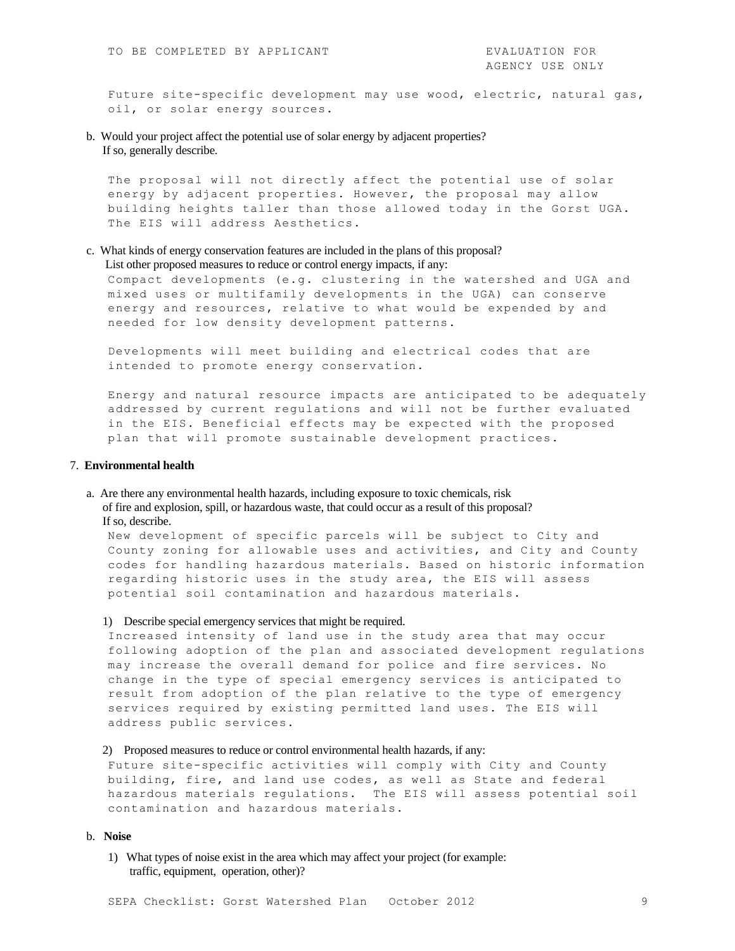AGENCY USE ONLY

Future site-specific development may use wood, electric, natural gas, oil, or solar energy sources.

b. Would your project affect the potential use of solar energy by adjacent properties? If so, generally describe.

The proposal will not directly affect the potential use of solar energy by adjacent properties. However, the proposal may allow building heights taller than those allowed today in the Gorst UGA. The EIS will address Aesthetics.

c. What kinds of energy conservation features are included in the plans of this proposal? List other proposed measures to reduce or control energy impacts, if any:

Compact developments (e.g. clustering in the watershed and UGA and mixed uses or multifamily developments in the UGA) can conserve energy and resources, relative to what would be expended by and needed for low density development patterns.

Developments will meet building and electrical codes that are intended to promote energy conservation.

Energy and natural resource impacts are anticipated to be adequately addressed by current regulations and will not be further evaluated in the EIS. Beneficial effects may be expected with the proposed plan that will promote sustainable development practices.

#### 7. **Environmental health**

a. Are there any environmental health hazards, including exposure to toxic chemicals, risk of fire and explosion, spill, or hazardous waste, that could occur as a result of this proposal? If so, describe.

```
New development of specific parcels will be subject to City and 
County zoning for allowable uses and activities, and City and County
codes for handling hazardous materials. Based on historic information 
regarding historic uses in the study area, the EIS will assess 
potential soil contamination and hazardous materials.
```
1) Describe special emergency services that might be required.

Increased intensity of land use in the study area that may occur following adoption of the plan and associated development regulations may increase the overall demand for police and fire services. No change in the type of special emergency services is anticipated to result from adoption of the plan relative to the type of emergency services required by existing permitted land uses. The EIS will address public services.

#### 2) Proposed measures to reduce or control environmental health hazards, if any:

Future site-specific activities will comply with City and County building, fire, and land use codes, as well as State and federal hazardous materials regulations. The EIS will assess potential soil contamination and hazardous materials.

#### b. **Noise**

1) What types of noise exist in the area which may affect your project (for example: traffic, equipment, operation, other)?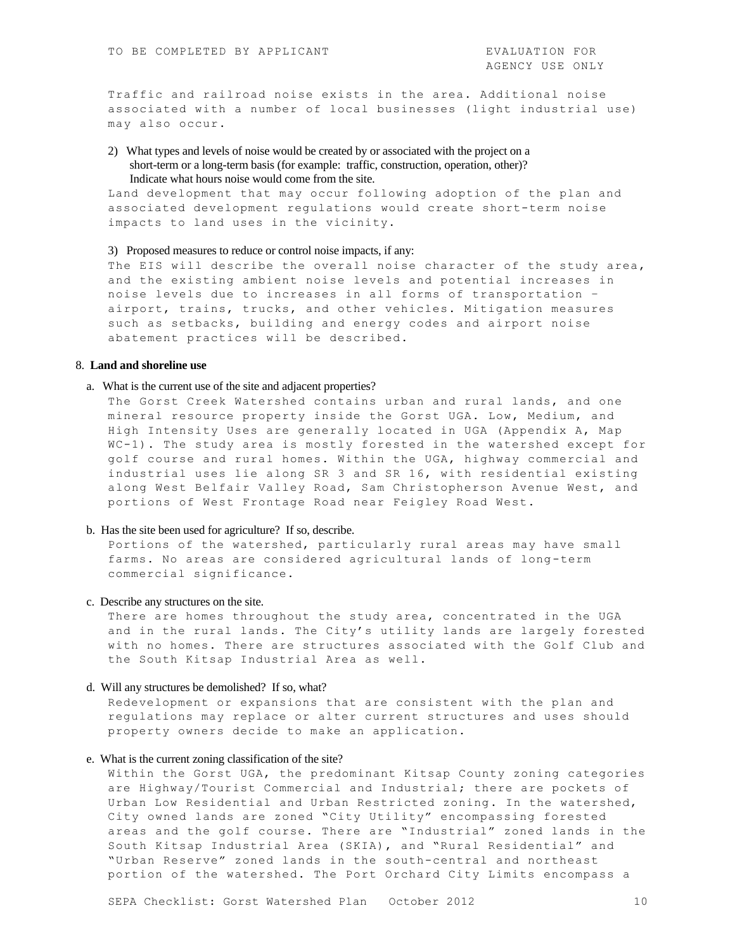AGENCY USE ONLY

Traffic and railroad noise exists in the area. Additional noise associated with a number of local businesses (light industrial use) may also occur.

# 2) What types and levels of noise would be created by or associated with the project on a short-term or a long-term basis (for example: traffic, construction, operation, other)? Indicate what hours noise would come from the site.

Land development that may occur following adoption of the plan and associated development regulations would create short-term noise impacts to land uses in the vicinity.

# 3) Proposed measures to reduce or control noise impacts, if any:

The EIS will describe the overall noise character of the study area, and the existing ambient noise levels and potential increases in noise levels due to increases in all forms of transportation – airport, trains, trucks, and other vehicles. Mitigation measures such as setbacks, building and energy codes and airport noise abatement practices will be described.

# 8. **Land and shoreline use**

#### a. What is the current use of the site and adjacent properties?

The Gorst Creek Watershed contains urban and rural lands, and one mineral resource property inside the Gorst UGA. Low, Medium, and High Intensity Uses are generally located in UGA (Appendix A, Map WC-1). The study area is mostly forested in the watershed except for golf course and rural homes. Within the UGA, highway commercial and industrial uses lie along SR 3 and SR 16, with residential existing along West Belfair Valley Road, Sam Christopherson Avenue West, and portions of West Frontage Road near Feigley Road West.

#### b. Has the site been used for agriculture? If so, describe.

Portions of the watershed, particularly rural areas may have small farms. No areas are considered agricultural lands of long-term commercial significance.

### c. Describe any structures on the site.

There are homes throughout the study area, concentrated in the UGA and in the rural lands. The City's utility lands are largely forested with no homes. There are structures associated with the Golf Club and the South Kitsap Industrial Area as well.

#### d. Will any structures be demolished? If so, what?

Redevelopment or expansions that are consistent with the plan and regulations may replace or alter current structures and uses should property owners decide to make an application.

# e. What is the current zoning classification of the site?

Within the Gorst UGA, the predominant Kitsap County zoning categories are Highway/Tourist Commercial and Industrial; there are pockets of Urban Low Residential and Urban Restricted zoning. In the watershed, City owned lands are zoned "City Utility" encompassing forested areas and the golf course. There are "Industrial" zoned lands in the South Kitsap Industrial Area (SKIA), and "Rural Residential" and "Urban Reserve" zoned lands in the south-central and northeast portion of the watershed. The Port Orchard City Limits encompass a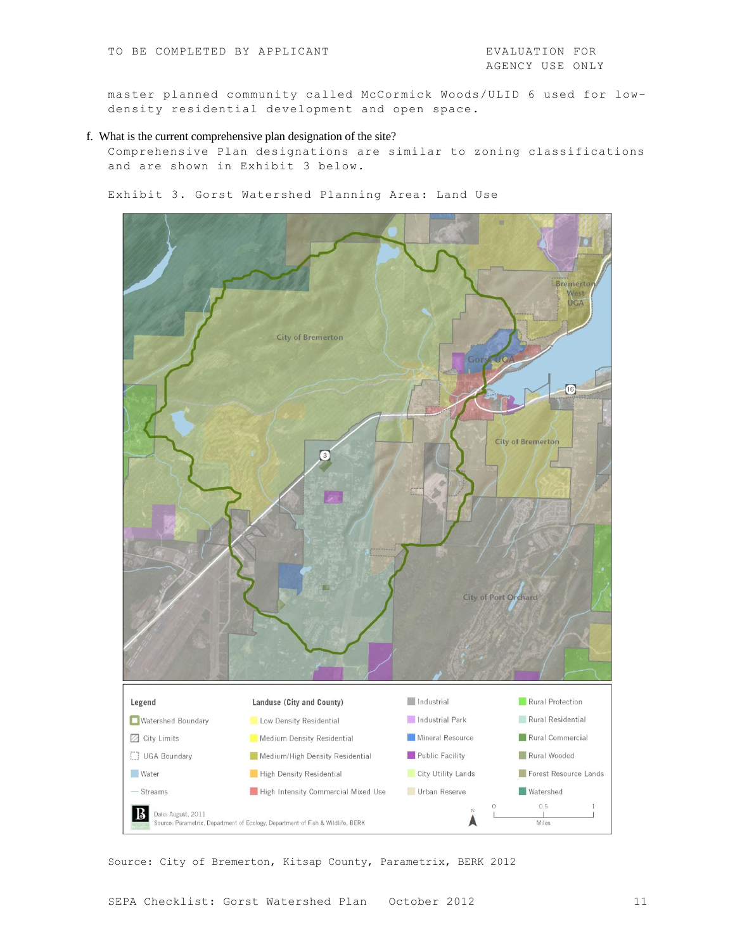master planned community called McCormick Woods/ULID 6 used for lowdensity residential development and open space.

#### f. What is the current comprehensive plan designation of the site?

Comprehensive Plan designations are similar to zoning classifications and are shown in Exhibit 3 below.

Exhibit 3. Gorst Watershed Planning Area: Land Use



Source: City of Bremerton, Kitsap County, Parametrix, BERK 2012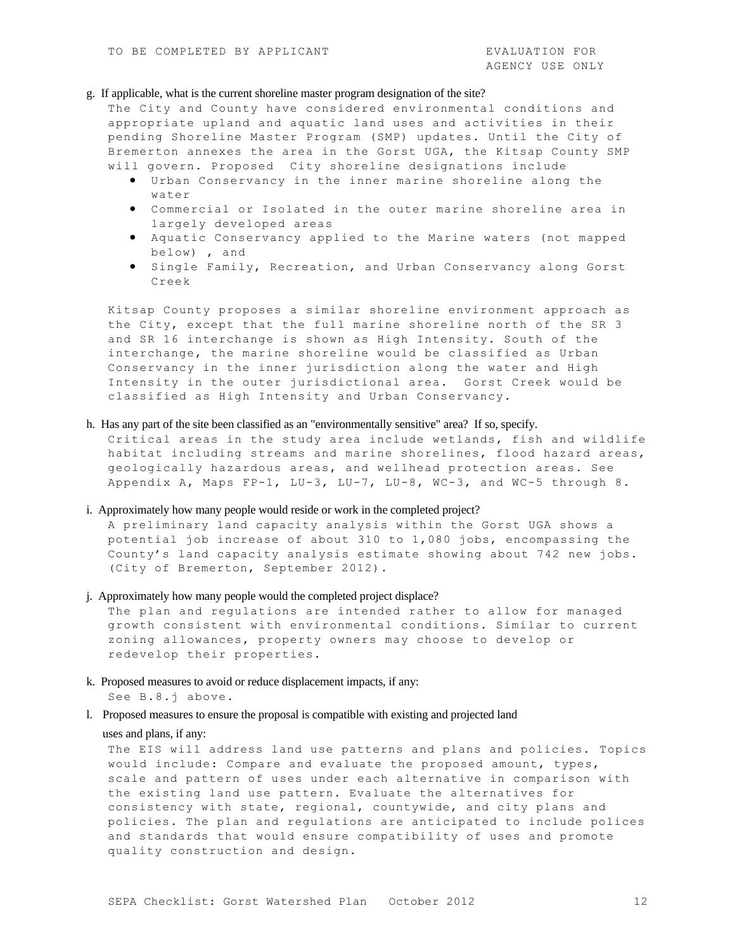### g. If applicable, what is the current shoreline master program designation of the site?

The City and County have considered environmental conditions and appropriate upland and aquatic land uses and activities in their pending Shoreline Master Program (SMP) updates. Until the City of Bremerton annexes the area in the Gorst UGA, the Kitsap County SMP will govern. Proposed City shoreline designations include

- Urban Conservancy in the inner marine shoreline along the water
- Commercial or Isolated in the outer marine shoreline area in largely developed areas
- Aquatic Conservancy applied to the Marine waters (not mapped below) , and
- **•** Single Family, Recreation, and Urban Conservancy along Gorst Creek

Kitsap County proposes a similar shoreline environment approach as the City, except that the full marine shoreline north of the SR 3 and SR 16 interchange is shown as High Intensity. South of the interchange, the marine shoreline would be classified as Urban Conservancy in the inner jurisdiction along the water and High Intensity in the outer jurisdictional area. Gorst Creek would be classified as High Intensity and Urban Conservancy.

### h. Has any part of the site been classified as an "environmentally sensitive" area? If so, specify.

Critical areas in the study area include wetlands, fish and wildlife habitat including streams and marine shorelines, flood hazard areas, geologically hazardous areas, and wellhead protection areas. See Appendix A, Maps FP-1, LU-3, LU-7, LU-8, WC-3, and WC-5 through 8.

#### i. Approximately how many people would reside or work in the completed project?

A preliminary land capacity analysis within the Gorst UGA shows a potential job increase of about 310 to 1,080 jobs, encompassing the County's land capacity analysis estimate showing about 742 new jobs. (City of Bremerton, September 2012).

j. Approximately how many people would the completed project displace?

The plan and regulations are intended rather to allow for managed growth consistent with environmental conditions. Similar to current zoning allowances, property owners may choose to develop or redevelop their properties.

k. Proposed measures to avoid or reduce displacement impacts, if any:

See B.8.j above.

l. Proposed measures to ensure the proposal is compatible with existing and projected land

uses and plans, if any:

The EIS will address land use patterns and plans and policies. Topics would include: Compare and evaluate the proposed amount, types, scale and pattern of uses under each alternative in comparison with the existing land use pattern. Evaluate the alternatives for consistency with state, regional, countywide, and city plans and policies. The plan and regulations are anticipated to include polices and standards that would ensure compatibility of uses and promote quality construction and design.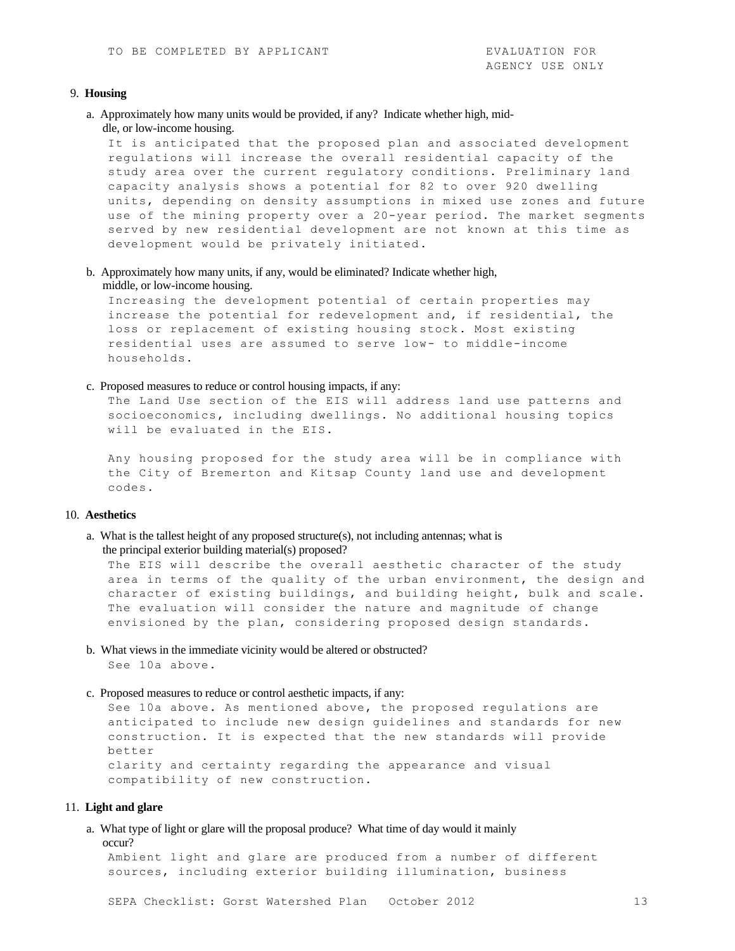#### 9. **Housing**

a. Approximately how many units would be provided, if any? Indicate whether high, middle, or low-income housing.

It is anticipated that the proposed plan and associated development regulations will increase the overall residential capacity of the study area over the current regulatory conditions. Preliminary land capacity analysis shows a potential for 82 to over 920 dwelling units, depending on density assumptions in mixed use zones and future use of the mining property over a 20-year period. The market segments served by new residential development are not known at this time as development would be privately initiated.

b. Approximately how many units, if any, would be eliminated? Indicate whether high, middle, or low-income housing.

Increasing the development potential of certain properties may increase the potential for redevelopment and, if residential, the loss or replacement of existing housing stock. Most existing residential uses are assumed to serve low- to middle-income households.

c. Proposed measures to reduce or control housing impacts, if any:

The Land Use section of the EIS will address land use patterns and socioeconomics, including dwellings. No additional housing topics will be evaluated in the EIS.

Any housing proposed for the study area will be in compliance with the City of Bremerton and Kitsap County land use and development codes.

# 10. **Aesthetics**

a. What is the tallest height of any proposed structure(s), not including antennas; what is the principal exterior building material(s) proposed?

The EIS will describe the overall aesthetic character of the study area in terms of the quality of the urban environment, the design and character of existing buildings, and building height, bulk and scale. The evaluation will consider the nature and magnitude of change envisioned by the plan, considering proposed design standards.

b. What views in the immediate vicinity would be altered or obstructed?

See 10a above.

c. Proposed measures to reduce or control aesthetic impacts, if any:

```
See 10a above. As mentioned above, the proposed regulations are 
anticipated to include new design guidelines and standards for new 
construction. It is expected that the new standards will provide 
better
clarity and certainty regarding the appearance and visual 
compatibility of new construction.
```
### 11. **Light and glare**

# a. What type of light or glare will the proposal produce? What time of day would it mainly

occur?

Ambient light and glare are produced from a number of different sources, including exterior building illumination, business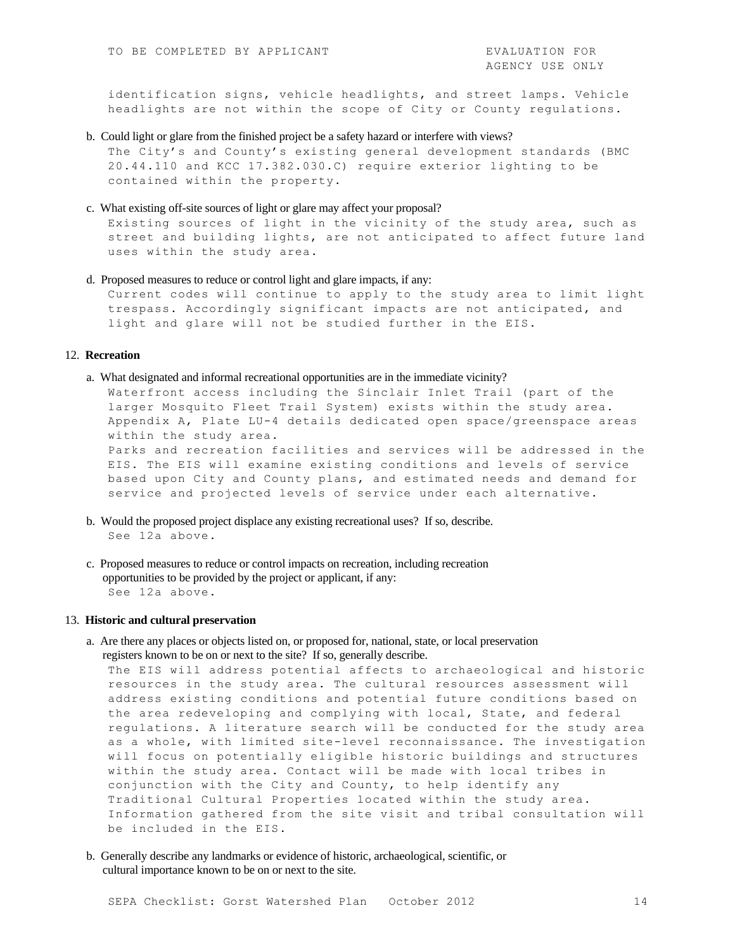identification signs, vehicle headlights, and street lamps. Vehicle headlights are not within the scope of City or County regulations.

b. Could light or glare from the finished project be a safety hazard or interfere with views?

The City's and County's existing general development standards (BMC 20.44.110 and KCC 17.382.030.C) require exterior lighting to be contained within the property.

c. What existing off-site sources of light or glare may affect your proposal?

Existing sources of light in the vicinity of the study area, such as street and building lights, are not anticipated to affect future land uses within the study area.

d. Proposed measures to reduce or control light and glare impacts, if any:

Current codes will continue to apply to the study area to limit light trespass. Accordingly significant impacts are not anticipated, and light and glare will not be studied further in the EIS.

# 12. **Recreation**

a. What designated and informal recreational opportunities are in the immediate vicinity?

Waterfront access including the Sinclair Inlet Trail (part of the larger Mosquito Fleet Trail System) exists within the study area. Appendix A, Plate LU-4 details dedicated open space/greenspace areas within the study area. Parks and recreation facilities and services will be addressed in the EIS. The EIS will examine existing conditions and levels of service based upon City and County plans, and estimated needs and demand for service and projected levels of service under each alternative.

- b. Would the proposed project displace any existing recreational uses? If so, describe. See 12a above.
- c. Proposed measures to reduce or control impacts on recreation, including recreation opportunities to be provided by the project or applicant, if any: See 12a above.

#### 13. **Historic and cultural preservation**

a. Are there any places or objects listed on, or proposed for, national, state, or local preservation registers known to be on or next to the site? If so, generally describe.

The EIS will address potential affects to archaeological and historic resources in the study area. The cultural resources assessment will address existing conditions and potential future conditions based on the area redeveloping and complying with local, State, and federal regulations. A literature search will be conducted for the study area as a whole, with limited site-level reconnaissance. The investigation will focus on potentially eligible historic buildings and structures within the study area. Contact will be made with local tribes in conjunction with the City and County, to help identify any Traditional Cultural Properties located within the study area. Information gathered from the site visit and tribal consultation will be included in the EIS.

b. Generally describe any landmarks or evidence of historic, archaeological, scientific, or cultural importance known to be on or next to the site.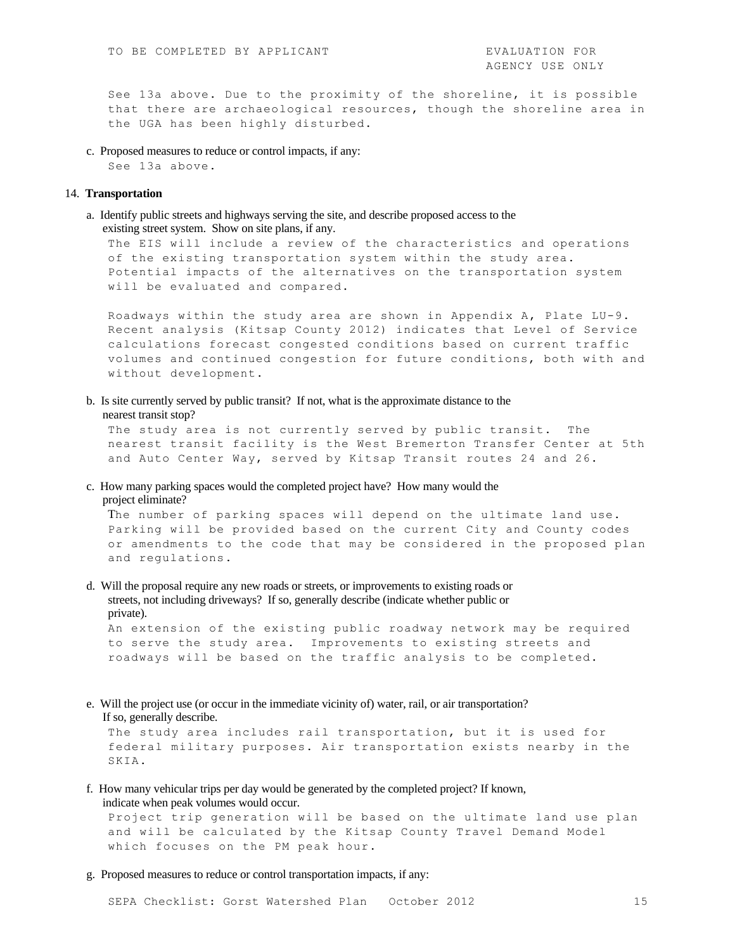See 13a above. Due to the proximity of the shoreline, it is possible that there are archaeological resources, though the shoreline area in the UGA has been highly disturbed.

c. Proposed measures to reduce or control impacts, if any:

See 13a above.

### 14. **Transportation**

a. Identify public streets and highways serving the site, and describe proposed access to the existing street system. Show on site plans, if any.

```
The EIS will include a review of the characteristics and operations 
of the existing transportation system within the study area. 
Potential impacts of the alternatives on the transportation system 
will be evaluated and compared.
```
Roadways within the study area are shown in Appendix A, Plate LU-9. Recent analysis (Kitsap County 2012) indicates that Level of Service calculations forecast congested conditions based on current traffic volumes and continued congestion for future conditions, both with and without development.

b. Is site currently served by public transit? If not, what is the approximate distance to the nearest transit stop?

The study area is not currently served by public transit. The nearest transit facility is the West Bremerton Transfer Center at 5th and Auto Center Way, served by Kitsap Transit routes 24 and 26.

c. How many parking spaces would the completed project have? How many would the project eliminate?

```
The number of parking spaces will depend on the ultimate land use. 
Parking will be provided based on the current City and County codes 
or amendments to the code that may be considered in the proposed plan 
and regulations.
```
d. Will the proposal require any new roads or streets, or improvements to existing roads or streets, not including driveways? If so, generally describe (indicate whether public or private).

```
An extension of the existing public roadway network may be required 
to serve the study area. Improvements to existing streets and 
roadways will be based on the traffic analysis to be completed.
```
e. Will the project use (or occur in the immediate vicinity of) water, rail, or air transportation? If so, generally describe.

```
The study area includes rail transportation, but it is used for 
federal military purposes. Air transportation exists nearby in the 
SKIA.
```
f. How many vehicular trips per day would be generated by the completed project? If known, indicate when peak volumes would occur.

```
Project trip generation will be based on the ultimate land use plan 
and will be calculated by the Kitsap County Travel Demand Model
which focuses on the PM peak hour.
```
g. Proposed measures to reduce or control transportation impacts, if any: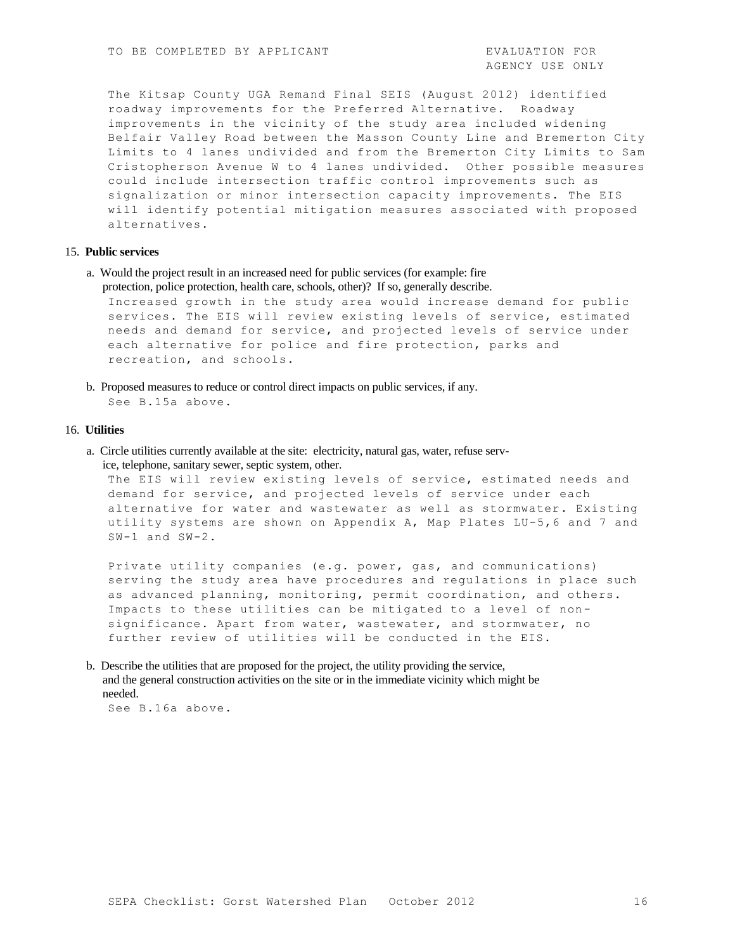The Kitsap County UGA Remand Final SEIS (August 2012) identified roadway improvements for the Preferred Alternative. Roadway improvements in the vicinity of the study area included widening Belfair Valley Road between the Masson County Line and Bremerton City Limits to 4 lanes undivided and from the Bremerton City Limits to Sam Cristopherson Avenue W to 4 lanes undivided. Other possible measures could include intersection traffic control improvements such as signalization or minor intersection capacity improvements. The EIS will identify potential mitigation measures associated with proposed alternatives.

# 15. **Public services**

- a. Would the project result in an increased need for public services (for example: fire protection, police protection, health care, schools, other)? If so, generally describe. Increased growth in the study area would increase demand for public services. The EIS will review existing levels of service, estimated needs and demand for service, and projected levels of service under each alternative for police and fire protection, parks and recreation, and schools.
- b. Proposed measures to reduce or control direct impacts on public services, if any. See B.15a above.

### 16. **Utilities**

a. Circle utilities currently available at the site: electricity, natural gas, water, refuse service, telephone, sanitary sewer, septic system, other.

The EIS will review existing levels of service, estimated needs and demand for service, and projected levels of service under each alternative for water and wastewater as well as stormwater. Existing utility systems are shown on Appendix A, Map Plates LU-5,6 and 7 and SW-1 and SW-2.

Private utility companies (e.g. power, gas, and communications) serving the study area have procedures and regulations in place such as advanced planning, monitoring, permit coordination, and others. Impacts to these utilities can be mitigated to a level of nonsignificance. Apart from water, wastewater, and stormwater, no further review of utilities will be conducted in the EIS.

b. Describe the utilities that are proposed for the project, the utility providing the service, and the general construction activities on the site or in the immediate vicinity which might be needed.

See B.16a above.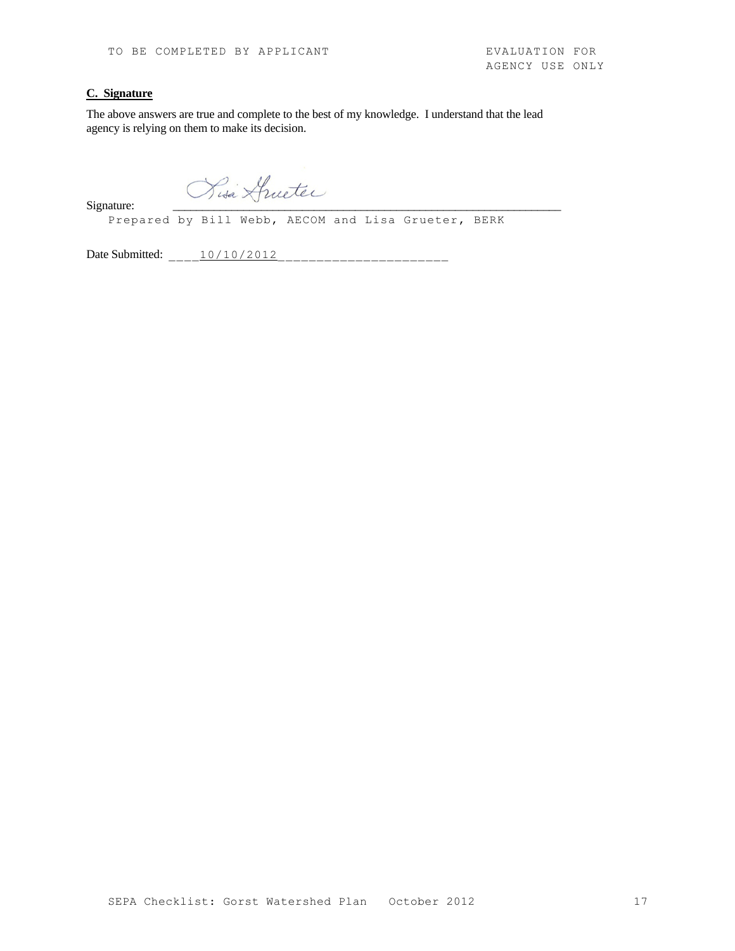# **C. Signature**

The above answers are true and complete to the best of my knowledge. I understand that the lead agency is relying on them to make its decision.

 $Signature:$ 

Prepared by Bill Webb, AECOM and Lisa Grueter, BERK

Date Submitted: \_\_\_\_10/10/2012\_\_\_\_\_\_\_\_\_\_\_\_\_\_\_\_\_\_\_\_\_\_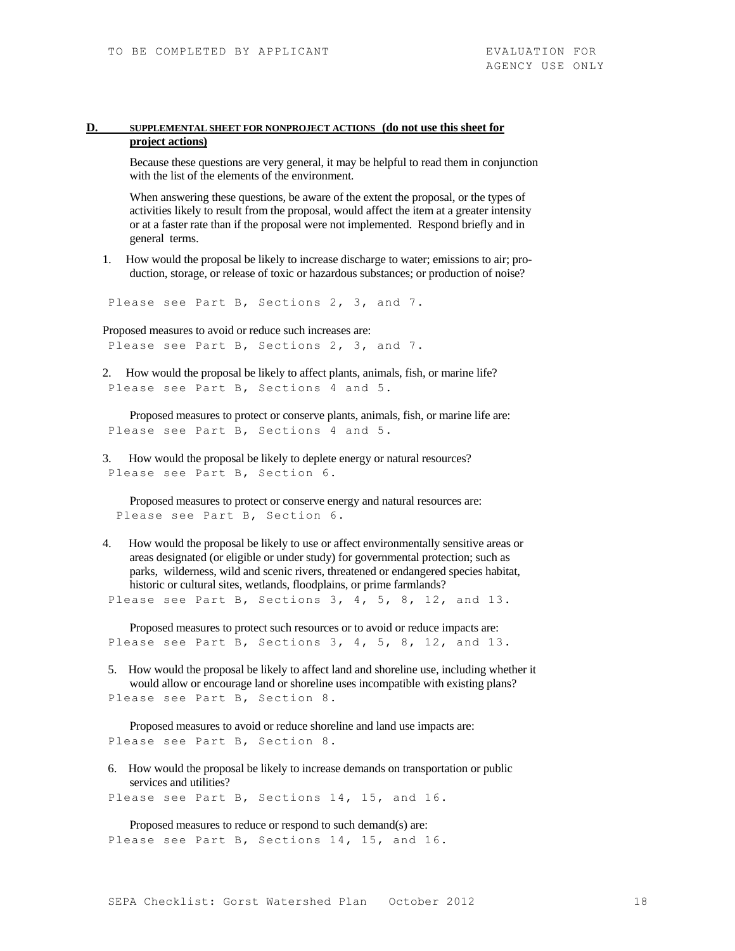# **D. SUPPLEMENTAL SHEET FOR NONPROJECT ACTIONS (do not use this sheet for project actions)**

Because these questions are very general, it may be helpful to read them in conjunction with the list of the elements of the environment.

When answering these questions, be aware of the extent the proposal, or the types of activities likely to result from the proposal, would affect the item at a greater intensity or at a faster rate than if the proposal were not implemented. Respond briefly and in general terms.

1. How would the proposal be likely to increase discharge to water; emissions to air; production, storage, or release of toxic or hazardous substances; or production of noise?

Please see Part B, Sections 2, 3, and 7.

Proposed measures to avoid or reduce such increases are: Please see Part B, Sections 2, 3, and 7.

2. How would the proposal be likely to affect plants, animals, fish, or marine life? Please see Part B, Sections 4 and 5.

Proposed measures to protect or conserve plants, animals, fish, or marine life are: Please see Part B, Sections 4 and 5.

3. How would the proposal be likely to deplete energy or natural resources? Please see Part B, Section 6.

Proposed measures to protect or conserve energy and natural resources are: Please see Part B, Section 6.

4. How would the proposal be likely to use or affect environmentally sensitive areas or areas designated (or eligible or under study) for governmental protection; such as parks, wilderness, wild and scenic rivers, threatened or endangered species habitat, historic or cultural sites, wetlands, floodplains, or prime farmlands?

Please see Part B, Sections 3, 4, 5, 8, 12, and 13.

Proposed measures to protect such resources or to avoid or reduce impacts are: Please see Part B, Sections 3, 4, 5, 8, 12, and 13.

5. How would the proposal be likely to affect land and shoreline use, including whether it would allow or encourage land or shoreline uses incompatible with existing plans? Please see Part B, Section 8.

Proposed measures to avoid or reduce shoreline and land use impacts are: Please see Part B, Section 8.

6. How would the proposal be likely to increase demands on transportation or public services and utilities?

Please see Part B, Sections 14, 15, and 16.

Proposed measures to reduce or respond to such demand(s) are: Please see Part B, Sections 14, 15, and 16.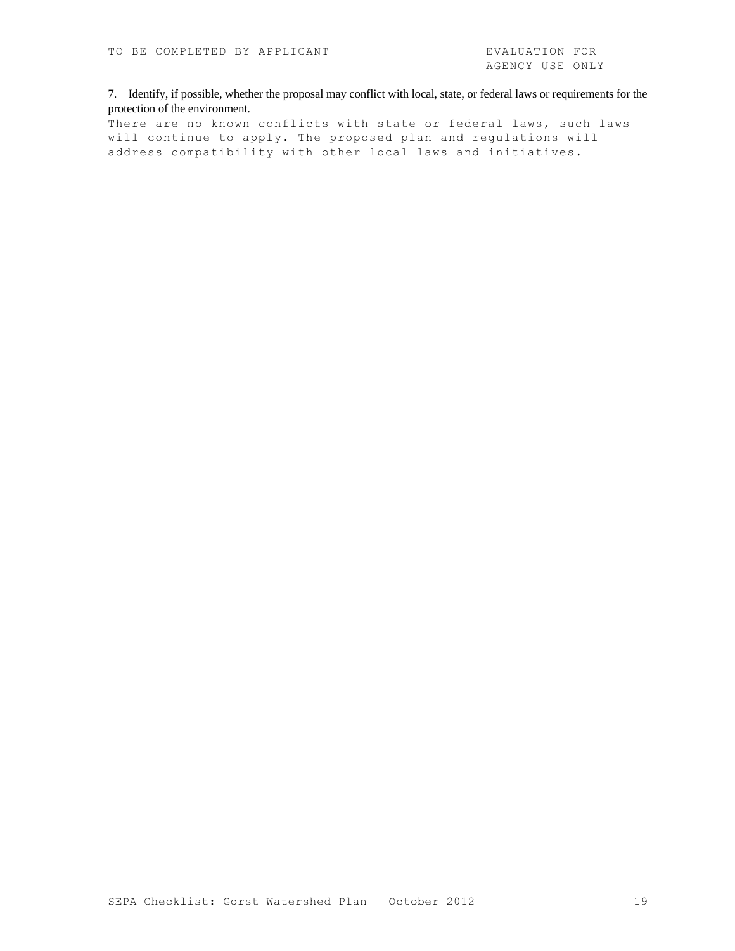7. Identify, if possible, whether the proposal may conflict with local, state, or federal laws or requirements for the protection of the environment.

There are no known conflicts with state or federal laws, such laws will continue to apply. The proposed plan and regulations will address compatibility with other local laws and initiatives.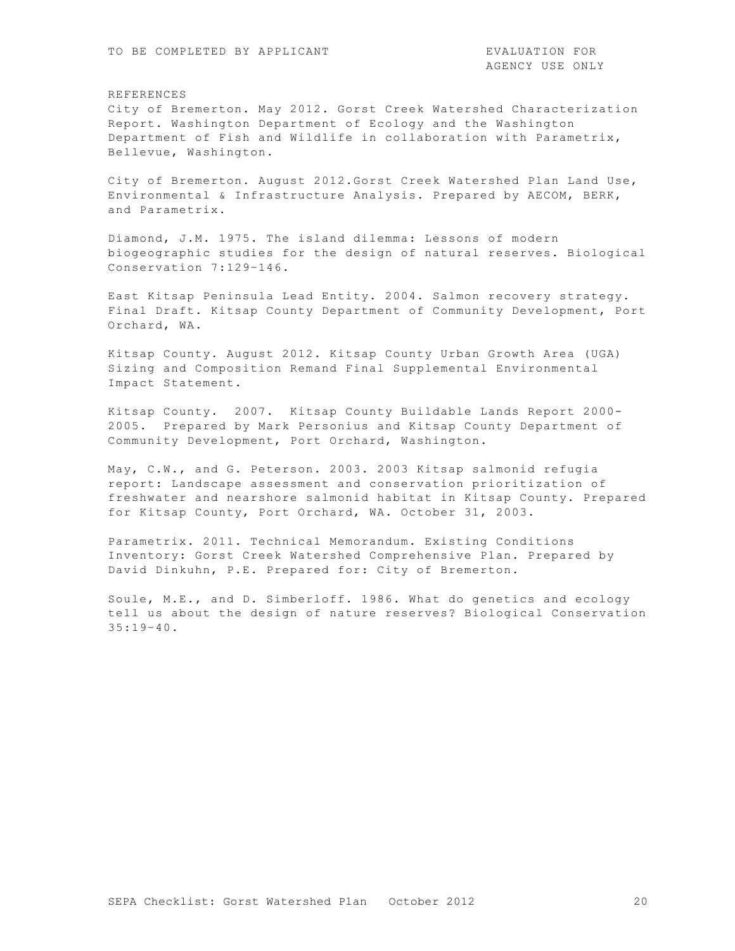REFERENCES

City of Bremerton. May 2012. Gorst Creek Watershed Characterization Report. Washington Department of Ecology and the Washington Department of Fish and Wildlife in collaboration with Parametrix, Bellevue, Washington.

City of Bremerton. August 2012.Gorst Creek Watershed Plan Land Use, Environmental & Infrastructure Analysis. Prepared by AECOM, BERK, and Parametrix.

Diamond, J.M. 1975. The island dilemma: Lessons of modern biogeographic studies for the design of natural reserves. Biological Conservation 7:129–146.

East Kitsap Peninsula Lead Entity. 2004. Salmon recovery strategy. Final Draft. Kitsap County Department of Community Development, Port Orchard, WA.

Kitsap County. August 2012. Kitsap County Urban Growth Area (UGA) Sizing and Composition Remand Final Supplemental Environmental Impact Statement.

Kitsap County. 2007. Kitsap County Buildable Lands Report 2000- 2005. Prepared by Mark Personius and Kitsap County Department of Community Development, Port Orchard, Washington.

May, C.W., and G. Peterson. 2003. 2003 Kitsap salmonid refugia report: Landscape assessment and conservation prioritization of freshwater and nearshore salmonid habitat in Kitsap County. Prepared for Kitsap County, Port Orchard, WA. October 31, 2003.

Parametrix. 2011. Technical Memorandum. Existing Conditions Inventory: Gorst Creek Watershed Comprehensive Plan. Prepared by David Dinkuhn, P.E. Prepared for: City of Bremerton.

Soule, M.E., and D. Simberloff. 1986. What do genetics and ecology tell us about the design of nature reserves? Biological Conservation 35:19–40.